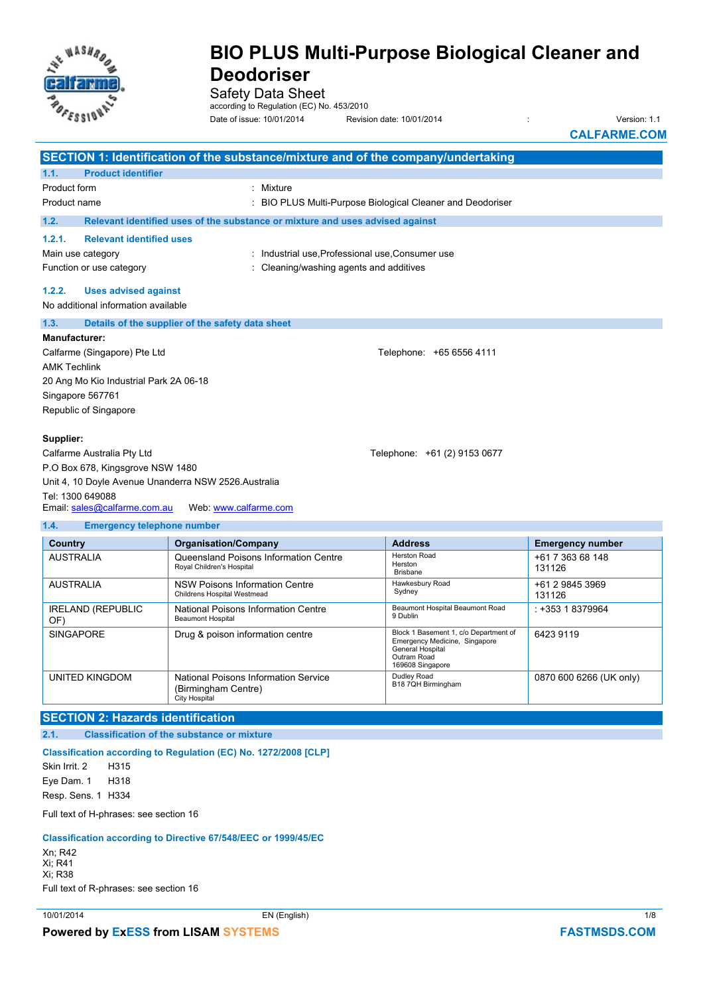

Safety Data Sheet

according to Regulation (EC) No. 453/2010

Date of issue: 10/01/2014 Revision date: 10/01/2014 : Version: 1.1

**CALFARME.COM**

|                                                                           |                                                            | SECTION 1: Identification of the substance/mixture and of the company/undertaking |                                                          |                         |
|---------------------------------------------------------------------------|------------------------------------------------------------|-----------------------------------------------------------------------------------|----------------------------------------------------------|-------------------------|
| 1.1.                                                                      | <b>Product identifier</b>                                  |                                                                                   |                                                          |                         |
| Product form                                                              |                                                            | : Mixture                                                                         |                                                          |                         |
| Product name                                                              |                                                            |                                                                                   | BIO PLUS Multi-Purpose Biological Cleaner and Deodoriser |                         |
| 1.2.                                                                      |                                                            | Relevant identified uses of the substance or mixture and uses advised against     |                                                          |                         |
| 1.2.1.                                                                    | <b>Relevant identified uses</b>                            |                                                                                   |                                                          |                         |
| Main use category                                                         |                                                            | : Industrial use, Professional use, Consumer use                                  |                                                          |                         |
|                                                                           | Function or use category                                   | Cleaning/washing agents and additives                                             |                                                          |                         |
| 1.2.2.                                                                    | <b>Uses advised against</b>                                |                                                                                   |                                                          |                         |
|                                                                           | No additional information available                        |                                                                                   |                                                          |                         |
| 1.3.                                                                      |                                                            | Details of the supplier of the safety data sheet                                  |                                                          |                         |
| Manufacturer:                                                             |                                                            |                                                                                   |                                                          |                         |
|                                                                           | Calfarme (Singapore) Pte Ltd                               |                                                                                   | Telephone: +65 6556 4111                                 |                         |
| <b>AMK Techlink</b>                                                       |                                                            |                                                                                   |                                                          |                         |
|                                                                           | 20 Ang Mo Kio Industrial Park 2A 06-18                     |                                                                                   |                                                          |                         |
| Singapore 567761                                                          |                                                            |                                                                                   |                                                          |                         |
|                                                                           | Republic of Singapore                                      |                                                                                   |                                                          |                         |
|                                                                           |                                                            |                                                                                   |                                                          |                         |
| Supplier:                                                                 |                                                            |                                                                                   |                                                          |                         |
|                                                                           | Calfarme Australia Pty Ltd<br>Telephone: +61 (2) 9153 0677 |                                                                                   |                                                          |                         |
| P.O Box 678, Kingsgrove NSW 1480                                          |                                                            |                                                                                   |                                                          |                         |
| Unit 4, 10 Doyle Avenue Unanderra NSW 2526 Australia                      |                                                            |                                                                                   |                                                          |                         |
| Tel: 1300 649088<br>Email: sales@calfarme.com.au<br>Web: www.calfarme.com |                                                            |                                                                                   |                                                          |                         |
|                                                                           |                                                            |                                                                                   |                                                          |                         |
| 1.4.<br><b>Emergency telephone number</b>                                 |                                                            |                                                                                   |                                                          |                         |
| <b>Country</b>                                                            |                                                            | <b>Organisation/Company</b>                                                       | <b>Address</b>                                           | <b>Emergency number</b> |

| <b>Country</b>                  | <b>Organisation/Company</b>                                                  | <b>Address</b>                                                                                                                | <b>Emergency number</b>    |
|---------------------------------|------------------------------------------------------------------------------|-------------------------------------------------------------------------------------------------------------------------------|----------------------------|
| <b>AUSTRALIA</b>                | Queensland Poisons Information Centre<br>Royal Children's Hospital           | Herston Road<br>Herston<br><b>Brisbane</b>                                                                                    | +61 7 363 68 148<br>131126 |
| <b>AUSTRALIA</b>                | NSW Poisons Information Centre<br>Childrens Hospital Westmead                | Hawkesbury Road<br>Sydney                                                                                                     | +61 2 9845 3969<br>131126  |
| <b>IRELAND (REPUBLIC</b><br>OF) | National Poisons Information Centre<br><b>Beaumont Hospital</b>              | Beaumont Hospital Beaumont Road<br>9 Dublin                                                                                   | : +353 1 8379964           |
| <b>SINGAPORE</b>                | Drug & poison information centre                                             | Block 1 Basement 1, c/o Department of<br>Emergency Medicine, Singapore<br>General Hospital<br>Outram Road<br>169608 Singapore | 6423 9119                  |
| UNITED KINGDOM                  | National Poisons Information Service<br>(Birmingham Centre)<br>City Hospital | Dudley Road<br>B18 7QH Birmingham                                                                                             | 0870 600 6266 (UK only)    |
|                                 |                                                                              |                                                                                                                               |                            |

**SECTION 2: Hazards identification** 

**2.1. Classification of the substance or mixture** 

**Classification according to Regulation (EC) No. 1272/2008 [CLP]**

Skin Irrit. 2 H315 Eye Dam. 1 H318 Resp. Sens. 1 H334

Full text of H-phrases: see section 16

#### **Classification according to Directive 67/548/EEC or 1999/45/EC**

Xn; R42 Xi; R41 Xi; R38 Full text of R-phrases: see section 16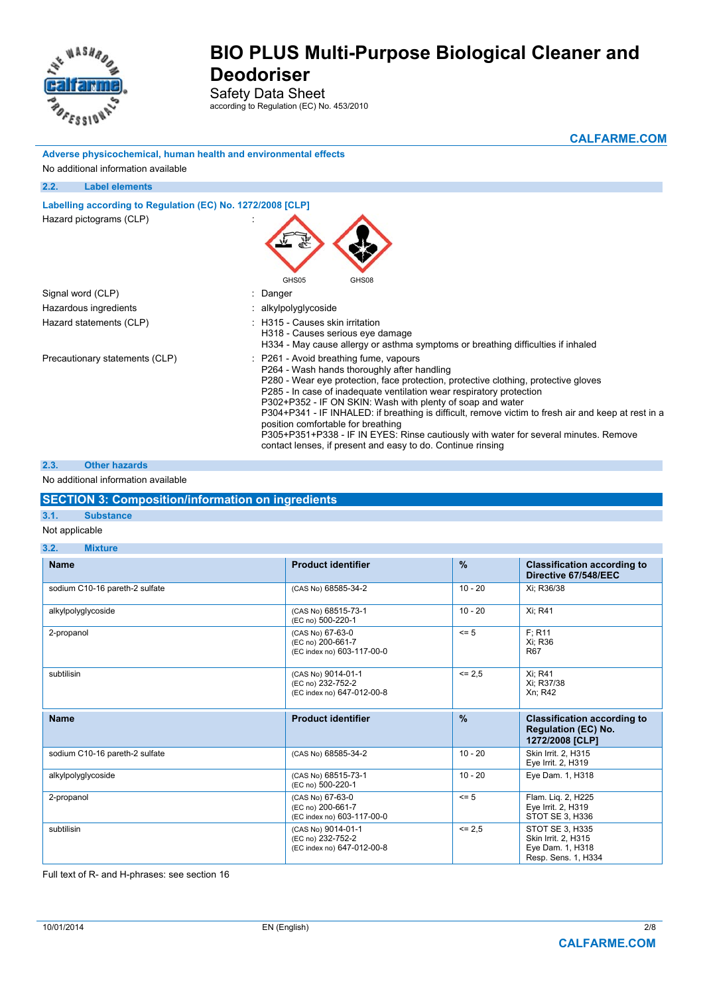

Safety Data Sheet according to Regulation (EC) No. 453/2010

|                                                                 | <b>CALFARME.COM</b>                                                                                                                                                                                                                                                                                                                                                                                                                                                                                                                                                                                                    |
|-----------------------------------------------------------------|------------------------------------------------------------------------------------------------------------------------------------------------------------------------------------------------------------------------------------------------------------------------------------------------------------------------------------------------------------------------------------------------------------------------------------------------------------------------------------------------------------------------------------------------------------------------------------------------------------------------|
| Adverse physicochemical, human health and environmental effects |                                                                                                                                                                                                                                                                                                                                                                                                                                                                                                                                                                                                                        |
| No additional information available                             |                                                                                                                                                                                                                                                                                                                                                                                                                                                                                                                                                                                                                        |
| 2.2.<br><b>Label elements</b>                                   |                                                                                                                                                                                                                                                                                                                                                                                                                                                                                                                                                                                                                        |
| Labelling according to Regulation (EC) No. 1272/2008 [CLP]      |                                                                                                                                                                                                                                                                                                                                                                                                                                                                                                                                                                                                                        |
| Hazard pictograms (CLP)                                         |                                                                                                                                                                                                                                                                                                                                                                                                                                                                                                                                                                                                                        |
| Signal word (CLP)                                               | GHS05<br>GHS08<br>: Danger                                                                                                                                                                                                                                                                                                                                                                                                                                                                                                                                                                                             |
| Hazardous ingredients                                           | : alkylpolyglycoside                                                                                                                                                                                                                                                                                                                                                                                                                                                                                                                                                                                                   |
| Hazard statements (CLP)                                         | : H315 - Causes skin irritation                                                                                                                                                                                                                                                                                                                                                                                                                                                                                                                                                                                        |
|                                                                 | H318 - Causes serious eye damage<br>H334 - May cause allergy or asthma symptoms or breathing difficulties if inhaled                                                                                                                                                                                                                                                                                                                                                                                                                                                                                                   |
| Precautionary statements (CLP)                                  | : P261 - Avoid breathing fume, vapours<br>P264 - Wash hands thoroughly after handling<br>P280 - Wear eye protection, face protection, protective clothing, protective gloves<br>P285 - In case of inadequate ventilation wear respiratory protection<br>P302+P352 - IF ON SKIN: Wash with plenty of soap and water<br>P304+P341 - IF INHALED: if breathing is difficult, remove victim to fresh air and keep at rest in a<br>position comfortable for breathing<br>P305+P351+P338 - IF IN EYES: Rinse cautiously with water for several minutes. Remove<br>contact lenses, if present and easy to do. Continue rinsing |

#### **2.3. Other hazards**

#### No additional information available

#### **SECTION 3: Composition/information on ingredients**

### **3.1. Substance**

#### Not applicable

| 3.2.<br><b>Mixture</b>         |                                                                       |               |                                                                                     |  |
|--------------------------------|-----------------------------------------------------------------------|---------------|-------------------------------------------------------------------------------------|--|
| <b>Name</b>                    | <b>Product identifier</b>                                             | $\frac{9}{6}$ | <b>Classification according to</b><br>Directive 67/548/EEC                          |  |
| sodium C10-16 pareth-2 sulfate | (CAS No) 68585-34-2                                                   | $10 - 20$     | Xi; R36/38                                                                          |  |
| alkylpolyglycoside             | (CAS No) 68515-73-1<br>(EC no) 500-220-1                              | $10 - 20$     | Xi; R41                                                                             |  |
| 2-propanol                     | (CAS No) 67-63-0<br>(EC no) 200-661-7<br>(EC index no) 603-117-00-0   | $\leq$ 5      | F: R11<br>Xi; R36<br>R <sub>67</sub>                                                |  |
| subtilisin                     | (CAS No) 9014-01-1<br>(EC no) 232-752-2<br>(EC index no) 647-012-00-8 | $\leq$ 2.5    | Xi: R41<br>Xi; R37/38<br>Xn; R42                                                    |  |
| <b>Name</b>                    | <b>Product identifier</b>                                             | $\frac{9}{6}$ | <b>Classification according to</b><br><b>Regulation (EC) No.</b><br>1272/2008 [CLP] |  |
| sodium C10-16 pareth-2 sulfate | (CAS No) 68585-34-2                                                   | $10 - 20$     | Skin Irrit. 2, H315<br>Eye Irrit. 2, H319                                           |  |
| alkylpolyglycoside             | (CAS No) 68515-73-1<br>(EC no) 500-220-1                              | $10 - 20$     | Eye Dam. 1, H318                                                                    |  |
| 2-propanol                     | (CAS No) 67-63-0<br>(EC no) 200-661-7<br>(EC index no) 603-117-00-0   | $= 5$         | Flam. Lig. 2, H225<br>Eye Irrit. 2, H319<br>STOT SE 3, H336                         |  |
| subtilisin                     | (CAS No) 9014-01-1<br>(EC no) 232-752-2<br>(EC index no) 647-012-00-8 | $\leq$ 2.5    | STOT SE 3, H335<br>Skin Irrit. 2, H315<br>Eye Dam. 1, H318<br>Resp. Sens. 1, H334   |  |

Full text of R- and H-phrases: see section 16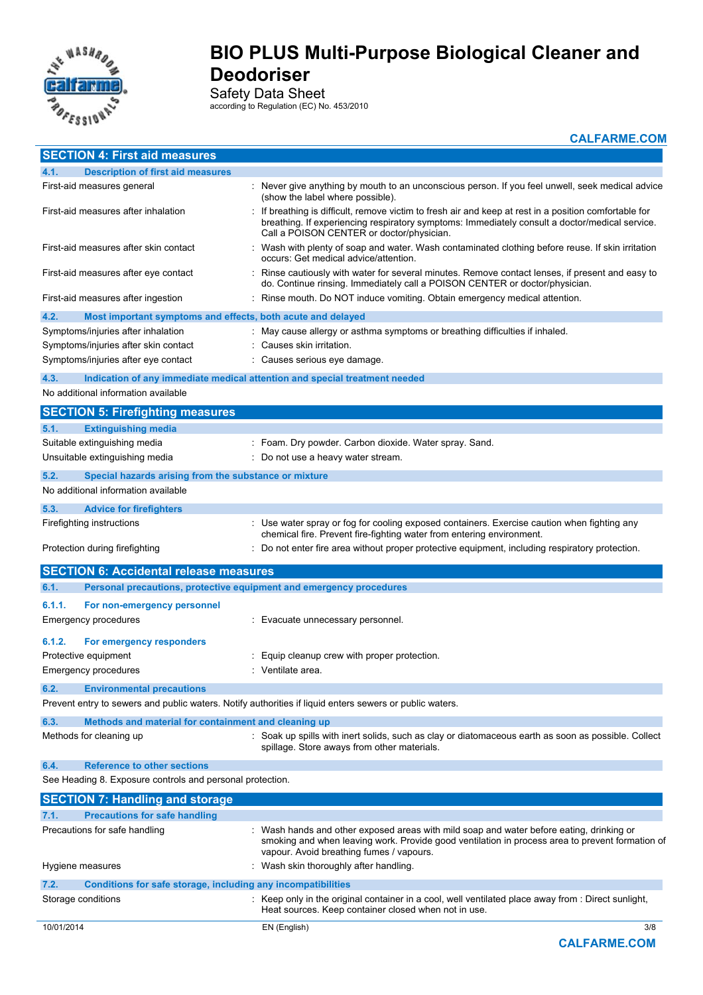

Safety Data Sheet

according to Regulation (EC) No. 453/2010

**CALFARME.COM**

| <b>SECTION 4: First aid measures</b>                                                                    |                                                                                                                                                                                                                                                       |
|---------------------------------------------------------------------------------------------------------|-------------------------------------------------------------------------------------------------------------------------------------------------------------------------------------------------------------------------------------------------------|
| 4.1.<br><b>Description of first aid measures</b>                                                        |                                                                                                                                                                                                                                                       |
| First-aid measures general                                                                              | : Never give anything by mouth to an unconscious person. If you feel unwell, seek medical advice<br>(show the label where possible).                                                                                                                  |
| First-aid measures after inhalation                                                                     | : If breathing is difficult, remove victim to fresh air and keep at rest in a position comfortable for<br>breathing. If experiencing respiratory symptoms: Immediately consult a doctor/medical service.<br>Call a POISON CENTER or doctor/physician. |
| First-aid measures after skin contact                                                                   | Wash with plenty of soap and water. Wash contaminated clothing before reuse. If skin irritation<br>occurs: Get medical advice/attention.                                                                                                              |
| First-aid measures after eye contact                                                                    | Rinse cautiously with water for several minutes. Remove contact lenses, if present and easy to<br>do. Continue rinsing. Immediately call a POISON CENTER or doctor/physician.                                                                         |
| First-aid measures after ingestion                                                                      | Rinse mouth. Do NOT induce vomiting. Obtain emergency medical attention.                                                                                                                                                                              |
| 4.2.<br>Most important symptoms and effects, both acute and delayed                                     |                                                                                                                                                                                                                                                       |
| Symptoms/injuries after inhalation                                                                      | : May cause allergy or asthma symptoms or breathing difficulties if inhaled.                                                                                                                                                                          |
| Symptoms/injuries after skin contact                                                                    | Causes skin irritation.                                                                                                                                                                                                                               |
| Symptoms/injuries after eye contact                                                                     | Causes serious eye damage.                                                                                                                                                                                                                            |
| 4.3.                                                                                                    | Indication of any immediate medical attention and special treatment needed                                                                                                                                                                            |
| No additional information available                                                                     |                                                                                                                                                                                                                                                       |
| <b>SECTION 5: Firefighting measures</b>                                                                 |                                                                                                                                                                                                                                                       |
| <b>Extinguishing media</b><br>5.1.                                                                      |                                                                                                                                                                                                                                                       |
| Suitable extinguishing media                                                                            | : Foam. Dry powder. Carbon dioxide. Water spray. Sand.                                                                                                                                                                                                |
| Unsuitable extinguishing media                                                                          | Do not use a heavy water stream.                                                                                                                                                                                                                      |
| 5.2.<br>Special hazards arising from the substance or mixture                                           |                                                                                                                                                                                                                                                       |
| No additional information available                                                                     |                                                                                                                                                                                                                                                       |
| 5.3.                                                                                                    |                                                                                                                                                                                                                                                       |
| <b>Advice for firefighters</b>                                                                          | : Use water spray or fog for cooling exposed containers. Exercise caution when fighting any                                                                                                                                                           |
| Firefighting instructions                                                                               | chemical fire. Prevent fire-fighting water from entering environment.                                                                                                                                                                                 |
| Protection during firefighting                                                                          | Do not enter fire area without proper protective equipment, including respiratory protection.                                                                                                                                                         |
| <b>SECTION 6: Accidental release measures</b>                                                           |                                                                                                                                                                                                                                                       |
| Personal precautions, protective equipment and emergency procedures<br>6.1.                             |                                                                                                                                                                                                                                                       |
| 6.1.1.<br>For non-emergency personnel                                                                   |                                                                                                                                                                                                                                                       |
| Emergency procedures                                                                                    | Evacuate unnecessary personnel.                                                                                                                                                                                                                       |
| 6.1.2.<br>For emergency responders                                                                      |                                                                                                                                                                                                                                                       |
| Protective equipment                                                                                    | Equip cleanup crew with proper protection.                                                                                                                                                                                                            |
| Emergency procedures                                                                                    | Ventilate area.                                                                                                                                                                                                                                       |
| 6.2.<br><b>Environmental precautions</b>                                                                |                                                                                                                                                                                                                                                       |
| Prevent entry to sewers and public waters. Notify authorities if liquid enters sewers or public waters. |                                                                                                                                                                                                                                                       |
| 6.3.<br>Methods and material for containment and cleaning up                                            |                                                                                                                                                                                                                                                       |
| Methods for cleaning up                                                                                 | : Soak up spills with inert solids, such as clay or diatomaceous earth as soon as possible. Collect<br>spillage. Store aways from other materials.                                                                                                    |
| 6.4.<br><b>Reference to other sections</b>                                                              |                                                                                                                                                                                                                                                       |
| See Heading 8. Exposure controls and personal protection.                                               |                                                                                                                                                                                                                                                       |
| <b>SECTION 7: Handling and storage</b>                                                                  |                                                                                                                                                                                                                                                       |
| <b>Precautions for safe handling</b><br>7.1.                                                            |                                                                                                                                                                                                                                                       |
| Precautions for safe handling                                                                           | Wash hands and other exposed areas with mild soap and water before eating, drinking or<br>smoking and when leaving work. Provide good ventilation in process area to prevent formation of<br>vapour. Avoid breathing fumes / vapours.                 |
| Hygiene measures                                                                                        | : Wash skin thoroughly after handling.                                                                                                                                                                                                                |
| Conditions for safe storage, including any incompatibilities<br>7.2.                                    |                                                                                                                                                                                                                                                       |
| Storage conditions                                                                                      | : Keep only in the original container in a cool, well ventilated place away from : Direct sunlight,<br>Heat sources. Keep container closed when not in use.                                                                                           |
| 10/01/2014                                                                                              | EN (English)<br>3/8                                                                                                                                                                                                                                   |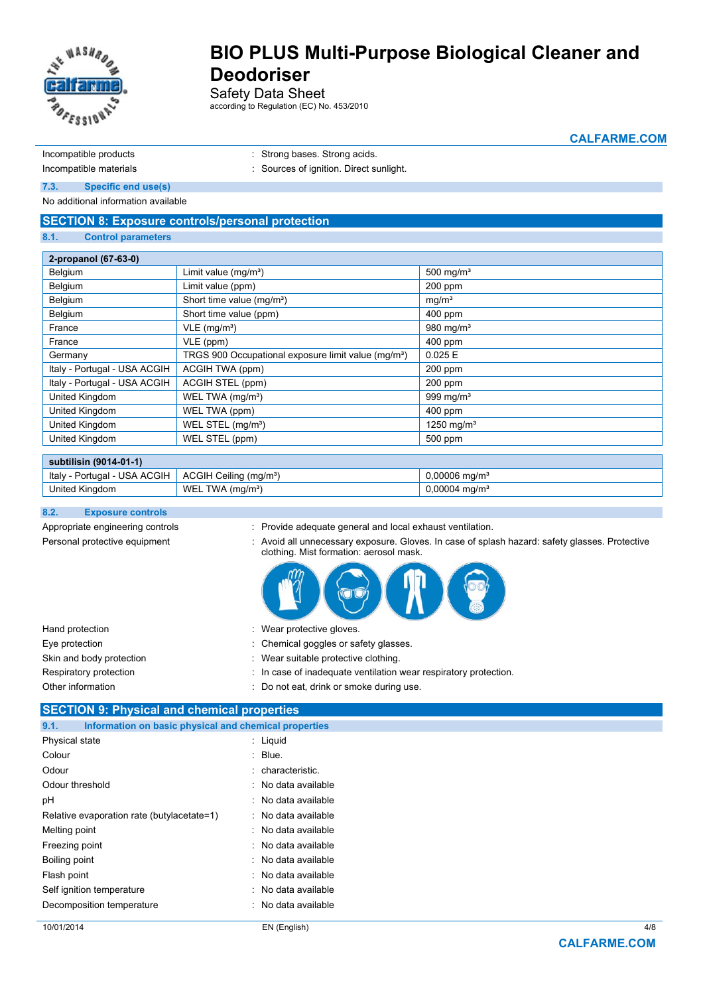

Safety Data Sheet

according to Regulation (EC) No. 453/2010

**CALFARME.COM**

Incompatible products in the strong bases. Strong acids.

Incompatible materials **incompatible materials** : Sources of ignition. Direct sunlight.

**7.3. Specific end use(s)** 

No additional information available

### **SECTION 8: Exposure controls/personal protection**

#### **8.1. Control parameters**

| 2-propanol (67-63-0)         |                                                                 |                   |  |
|------------------------------|-----------------------------------------------------------------|-------------------|--|
| Belgium                      | Limit value $(mg/m3)$                                           | 500 mg/ $m3$      |  |
| Belgium                      | Limit value (ppm)                                               | 200 ppm           |  |
| Belgium                      | Short time value (mg/m <sup>3</sup> )                           | mq/m <sup>3</sup> |  |
| Belgium                      | Short time value (ppm)                                          | $400$ ppm         |  |
| France                       | $VLE$ (mg/m <sup>3</sup> )                                      | 980 mg/ $m3$      |  |
| France                       | VLE (ppm)                                                       | 400 ppm           |  |
| Germany                      | TRGS 900 Occupational exposure limit value (mg/m <sup>3</sup> ) | 0.025 E           |  |
| Italy - Portugal - USA ACGIH | ACGIH TWA (ppm)                                                 | 200 ppm           |  |
| Italy - Portugal - USA ACGIH | ACGIH STEL (ppm)                                                | $200$ ppm         |  |
| United Kingdom               | WEL TWA (mg/m <sup>3</sup> )                                    | 999 mg/ $m3$      |  |
| United Kingdom               | WEL TWA (ppm)                                                   | $400$ ppm         |  |
| United Kingdom               | WEL STEL (mg/m <sup>3</sup> )                                   | 1250 mg/ $m3$     |  |
| United Kingdom               | WEL STEL (ppm)                                                  | 500 ppm           |  |

#### **subtilisin (9014-01-1)**

| A ACGIH<br>USA<br>Italy<br>'ortuɑal | ACGIH<br>Ceilina<br>(ma/m <sup>3</sup> )<br>$\cdot$ | 0.0000<br>$\,$ .00006 ma/m $^{\circ}$ |  |  |
|-------------------------------------|-----------------------------------------------------|---------------------------------------|--|--|
| United Kingdom                      | <b>WF</b><br>TWA.<br>(ma/mª)<br>.                   | ma/m <sup>3</sup><br>. UUUU4          |  |  |

#### **8.2. Exposure controls**

- Appropriate engineering controls : Provide adequate general and local exhaust ventilation.
- 
- Personal protective equipment : Avoid all unnecessary exposure. Gloves. In case of splash hazard: safety glasses. Protective clothing. Mist formation: aerosol mask.



| Hand protection          | : Wear protective gloves.                                        |
|--------------------------|------------------------------------------------------------------|
| Eye protection           | : Chemical goggles or safety glasses.                            |
| Skin and body protection | : Wear suitable protective clothing.                             |
| Respiratory protection   | : In case of inadequate ventilation wear respiratory protection. |
| Other information        | : Do not eat, drink or smoke during use.                         |

#### **SECTION 9: Physical and chemical properties**

| 9.1.            | Information on basic physical and chemical properties |                     |
|-----------------|-------------------------------------------------------|---------------------|
| Physical state  |                                                       | : Liquid            |
| Colour          |                                                       | : Blue.             |
| Odour           |                                                       | : characteristic.   |
| Odour threshold |                                                       | : No data available |
| рH              |                                                       | : No data available |
|                 | Relative evaporation rate (butylacetate=1)            | : No data available |
| Melting point   |                                                       | : No data available |
| Freezing point  |                                                       | : No data available |
| Boiling point   |                                                       | : No data available |
| Flash point     |                                                       | : No data available |
|                 | Self ignition temperature                             | : No data available |
|                 | Decomposition temperature                             | : No data available |
|                 |                                                       |                     |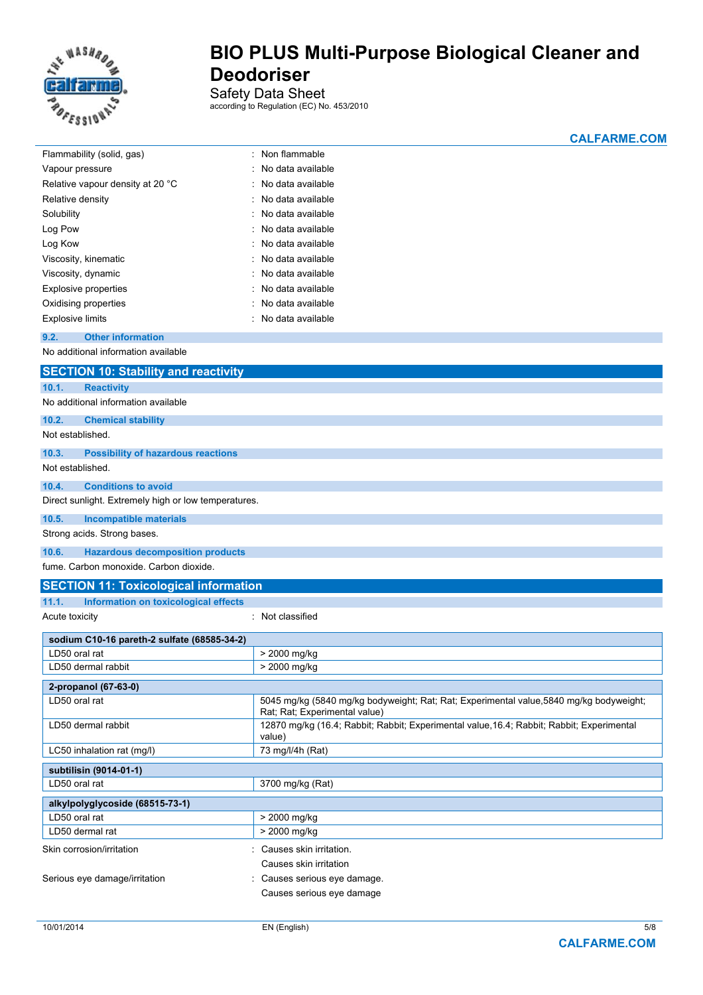

Safety Data Sheet

according to Regulation (EC) No. 453/2010

**CALFARME.COM**

| Flammability (solid, gas)                                    | Non flammable                                                                                                            |  |  |  |
|--------------------------------------------------------------|--------------------------------------------------------------------------------------------------------------------------|--|--|--|
| Vapour pressure                                              | No data available                                                                                                        |  |  |  |
| Relative vapour density at 20 °C                             | No data available                                                                                                        |  |  |  |
| Relative density                                             | No data available                                                                                                        |  |  |  |
| Solubility                                                   | No data available                                                                                                        |  |  |  |
| Log Pow                                                      | No data available                                                                                                        |  |  |  |
| Log Kow                                                      | No data available                                                                                                        |  |  |  |
| Viscosity, kinematic                                         | No data available                                                                                                        |  |  |  |
| Viscosity, dynamic                                           | No data available                                                                                                        |  |  |  |
| <b>Explosive properties</b>                                  | No data available                                                                                                        |  |  |  |
| Oxidising properties                                         | No data available                                                                                                        |  |  |  |
| <b>Explosive limits</b>                                      | No data available                                                                                                        |  |  |  |
| 9.2.<br><b>Other information</b>                             |                                                                                                                          |  |  |  |
| No additional information available                          |                                                                                                                          |  |  |  |
|                                                              |                                                                                                                          |  |  |  |
| <b>SECTION 10: Stability and reactivity</b>                  |                                                                                                                          |  |  |  |
| 10.1.<br><b>Reactivity</b>                                   |                                                                                                                          |  |  |  |
| No additional information available                          |                                                                                                                          |  |  |  |
| 10.2.<br><b>Chemical stability</b>                           |                                                                                                                          |  |  |  |
| Not established.                                             |                                                                                                                          |  |  |  |
| 10.3.<br><b>Possibility of hazardous reactions</b>           |                                                                                                                          |  |  |  |
| Not established.                                             |                                                                                                                          |  |  |  |
| 10.4.<br><b>Conditions to avoid</b>                          |                                                                                                                          |  |  |  |
| Direct sunlight. Extremely high or low temperatures.         |                                                                                                                          |  |  |  |
| 10.5.                                                        |                                                                                                                          |  |  |  |
| <b>Incompatible materials</b><br>Strong acids. Strong bases. |                                                                                                                          |  |  |  |
|                                                              |                                                                                                                          |  |  |  |
| 10.6.<br><b>Hazardous decomposition products</b>             |                                                                                                                          |  |  |  |
| fume. Carbon monoxide. Carbon dioxide.                       |                                                                                                                          |  |  |  |
| <b>SECTION 11: Toxicological information</b>                 |                                                                                                                          |  |  |  |
| 11.1.<br>Information on toxicological effects                |                                                                                                                          |  |  |  |
| Acute toxicity                                               | Not classified                                                                                                           |  |  |  |
| sodium C10-16 pareth-2 sulfate (68585-34-2)                  |                                                                                                                          |  |  |  |
| LD50 oral rat                                                | > 2000 mg/kg                                                                                                             |  |  |  |
| LD50 dermal rabbit                                           | > 2000 mg/kg                                                                                                             |  |  |  |
|                                                              |                                                                                                                          |  |  |  |
| 2-propanol (67-63-0)                                         |                                                                                                                          |  |  |  |
| LD50 oral rat                                                | 5045 mg/kg (5840 mg/kg bodyweight; Rat; Rat; Experimental value, 5840 mg/kg bodyweight;<br>Rat; Rat; Experimental value) |  |  |  |
| LD50 dermal rabbit                                           | 12870 mg/kg (16.4; Rabbit; Rabbit; Experimental value, 16.4; Rabbit; Rabbit; Experimental<br>value)                      |  |  |  |
| 73 mg/l/4h (Rat)<br>LC50 inhalation rat (mg/l)               |                                                                                                                          |  |  |  |
| subtilisin (9014-01-1)                                       |                                                                                                                          |  |  |  |
| LD50 oral rat<br>3700 mg/kg (Rat)                            |                                                                                                                          |  |  |  |
| alkylpolyglycoside (68515-73-1)                              |                                                                                                                          |  |  |  |
| LD50 oral rat                                                | > 2000 mg/kg                                                                                                             |  |  |  |
| LD50 dermal rat                                              | > 2000 mg/kg                                                                                                             |  |  |  |
|                                                              |                                                                                                                          |  |  |  |
| Skin corrosion/irritation<br>: Causes skin irritation.       |                                                                                                                          |  |  |  |
|                                                              | Causes skin irritation                                                                                                   |  |  |  |
| Serious eye damage/irritation                                | Causes serious eye damage.                                                                                               |  |  |  |
|                                                              | Causes serious eye damage                                                                                                |  |  |  |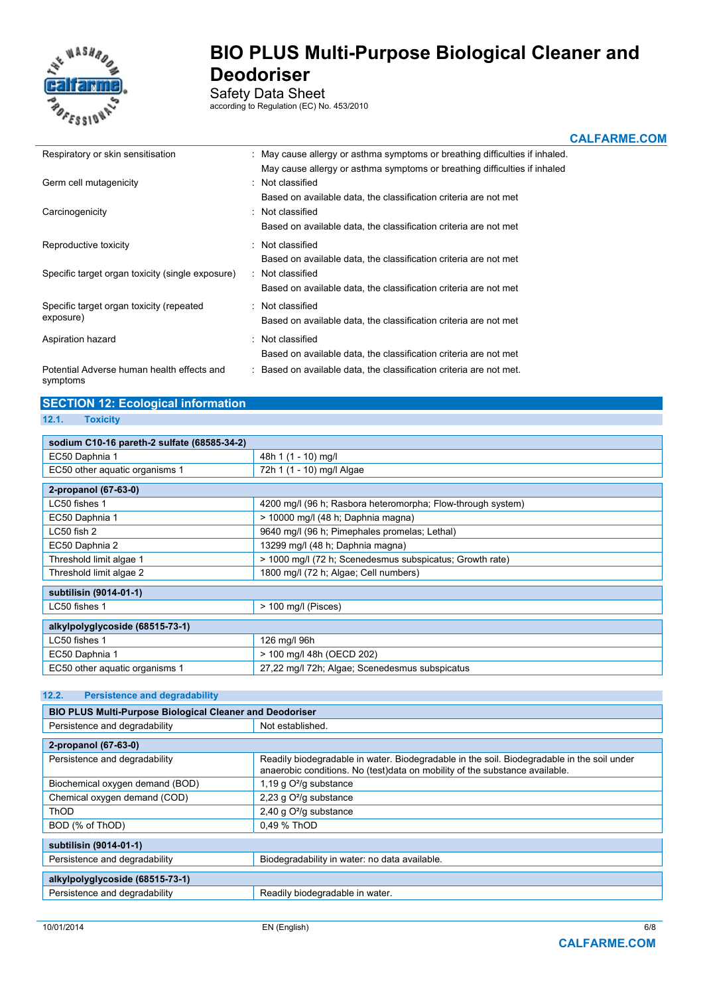

Safety Data Sheet

according to Regulation (EC) No. 453/2010

**CALFARME.COM**

| Respiratory or skin sensitisation                      | : May cause allergy or asthma symptoms or breathing difficulties if inhaled. |
|--------------------------------------------------------|------------------------------------------------------------------------------|
|                                                        | May cause allergy or asthma symptoms or breathing difficulties if inhaled    |
| Germ cell mutagenicity                                 | : Not classified                                                             |
|                                                        | Based on available data, the classification criteria are not met             |
| Carcinogenicity                                        | : Not classified                                                             |
|                                                        | Based on available data, the classification criteria are not met             |
| Reproductive toxicity                                  | : Not classified                                                             |
|                                                        | Based on available data, the classification criteria are not met             |
| Specific target organ toxicity (single exposure)       | : Not classified                                                             |
|                                                        | Based on available data, the classification criteria are not met             |
| Specific target organ toxicity (repeated               | : Not classified                                                             |
| exposure)                                              | Based on available data, the classification criteria are not met             |
| Aspiration hazard                                      | : Not classified                                                             |
|                                                        | Based on available data, the classification criteria are not met             |
| Potential Adverse human health effects and<br>symptoms | : Based on available data, the classification criteria are not met.          |

# **SECTION 12: Ecological information**

| z |  | toxici | M |
|---|--|--------|---|
|   |  |        |   |

| sodium C10-16 pareth-2 sulfate (68585-34-2) |                                                             |  |  |
|---------------------------------------------|-------------------------------------------------------------|--|--|
| EC50 Daphnia 1                              | 48h 1 (1 - 10) mg/l                                         |  |  |
| EC50 other aguatic organisms 1              | 72h 1 (1 - 10) mg/l Algae                                   |  |  |
| 2-propanol (67-63-0)                        |                                                             |  |  |
| LC50 fishes 1                               | 4200 mg/l (96 h; Rasbora heteromorpha; Flow-through system) |  |  |
| EC50 Daphnia 1                              | $>$ 10000 mg/l (48 h; Daphnia magna)                        |  |  |
| LC50 fish 2                                 | 9640 mg/l (96 h; Pimephales promelas; Lethal)               |  |  |
| EC50 Daphnia 2                              | 13299 mg/l (48 h; Daphnia magna)                            |  |  |
| Threshold limit algae 1                     | > 1000 mg/l (72 h; Scenedesmus subspicatus; Growth rate)    |  |  |
| Threshold limit algae 2                     | 1800 mg/l (72 h; Algae; Cell numbers)                       |  |  |
| subtilisin (9014-01-1)                      |                                                             |  |  |
| LC50 fishes 1                               | $>$ 100 mg/l (Pisces)                                       |  |  |
| alkylpolyglycoside (68515-73-1)             |                                                             |  |  |
| LC50 fishes 1                               | 126 mg/l 96h                                                |  |  |
| EC50 Daphnia 1                              | > 100 mg/l 48h (OECD 202)                                   |  |  |
| EC50 other aquatic organisms 1              | 27,22 mg/l 72h; Algae; Scenedesmus subspicatus              |  |  |

#### **12.2. Persistence and degradability**

| <b>BIO PLUS Multi-Purpose Biological Cleaner and Deodoriser</b> |                                                                                                                                                                           |  |
|-----------------------------------------------------------------|---------------------------------------------------------------------------------------------------------------------------------------------------------------------------|--|
| Persistence and degradability                                   | Not established.                                                                                                                                                          |  |
| 2-propanol (67-63-0)                                            |                                                                                                                                                                           |  |
|                                                                 |                                                                                                                                                                           |  |
| Persistence and degradability                                   | Readily biodegradable in water. Biodegradable in the soil. Biodegradable in the soil under<br>anaerobic conditions. No (test)data on mobility of the substance available. |  |
| Biochemical oxygen demand (BOD)                                 | 1,19 g $O^2$ /g substance                                                                                                                                                 |  |
| Chemical oxygen demand (COD)                                    | 2,23 g O <sup>2</sup> /g substance                                                                                                                                        |  |
| <b>ThOD</b>                                                     | 2,40 g O <sup>2</sup> /g substance                                                                                                                                        |  |
| BOD (% of ThOD)                                                 | 0.49 % ThOD                                                                                                                                                               |  |
|                                                                 |                                                                                                                                                                           |  |
| subtilisin (9014-01-1)                                          |                                                                                                                                                                           |  |
| Persistence and degradability                                   | Biodegradability in water: no data available.                                                                                                                             |  |
|                                                                 |                                                                                                                                                                           |  |
| alkylpolyglycoside (68515-73-1)                                 |                                                                                                                                                                           |  |
| Persistence and degradability                                   | Readily biodegradable in water.                                                                                                                                           |  |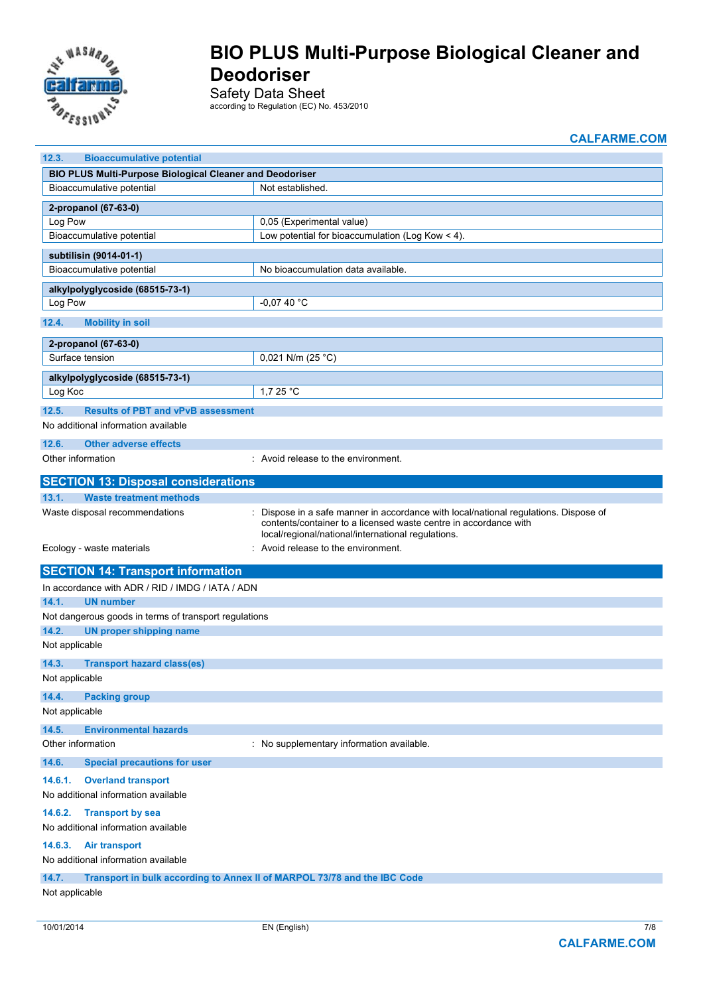

Safety Data Sheet

according to Regulation (EC) No. 453/2010

**CALFARME.COM**

| 12.3.<br><b>Bioaccumulative potential</b>                                                 |                                                                                                                                                                                                              |  |
|-------------------------------------------------------------------------------------------|--------------------------------------------------------------------------------------------------------------------------------------------------------------------------------------------------------------|--|
| <b>BIO PLUS Multi-Purpose Biological Cleaner and Deodoriser</b>                           |                                                                                                                                                                                                              |  |
| Bioaccumulative potential                                                                 | Not established.                                                                                                                                                                                             |  |
| 2-propanol (67-63-0)                                                                      |                                                                                                                                                                                                              |  |
| Log Pow                                                                                   | 0,05 (Experimental value)                                                                                                                                                                                    |  |
| Bioaccumulative potential                                                                 | Low potential for bioaccumulation (Log Kow < 4).                                                                                                                                                             |  |
| subtilisin (9014-01-1)                                                                    |                                                                                                                                                                                                              |  |
| Bioaccumulative potential                                                                 | No bioaccumulation data available.                                                                                                                                                                           |  |
| alkylpolyglycoside (68515-73-1)                                                           |                                                                                                                                                                                                              |  |
| Log Pow                                                                                   | -0,07 40 °C                                                                                                                                                                                                  |  |
| 12.4.<br><b>Mobility in soil</b>                                                          |                                                                                                                                                                                                              |  |
| 2-propanol (67-63-0)                                                                      |                                                                                                                                                                                                              |  |
| Surface tension                                                                           | 0,021 N/m (25 °C)                                                                                                                                                                                            |  |
|                                                                                           |                                                                                                                                                                                                              |  |
| alkylpolyglycoside (68515-73-1)                                                           |                                                                                                                                                                                                              |  |
| Log Koc                                                                                   | 1.7 25 $^{\circ}$ C                                                                                                                                                                                          |  |
| <b>Results of PBT and vPvB assessment</b><br>12.5.<br>No additional information available |                                                                                                                                                                                                              |  |
| 12.6.<br><b>Other adverse effects</b>                                                     |                                                                                                                                                                                                              |  |
| Other information                                                                         | : Avoid release to the environment.                                                                                                                                                                          |  |
| <b>SECTION 13: Disposal considerations</b>                                                |                                                                                                                                                                                                              |  |
| 13.1.<br><b>Waste treatment methods</b>                                                   |                                                                                                                                                                                                              |  |
| Waste disposal recommendations                                                            | Dispose in a safe manner in accordance with local/national regulations. Dispose of<br>contents/container to a licensed waste centre in accordance with<br>local/regional/national/international regulations. |  |
| Ecology - waste materials                                                                 | Avoid release to the environment.                                                                                                                                                                            |  |
| <b>SECTION 14: Transport information</b>                                                  |                                                                                                                                                                                                              |  |
| In accordance with ADR / RID / IMDG / IATA / ADN                                          |                                                                                                                                                                                                              |  |
| <b>UN number</b><br>14.1.                                                                 |                                                                                                                                                                                                              |  |
| Not dangerous goods in terms of transport regulations                                     |                                                                                                                                                                                                              |  |
| 14.2.<br><b>UN proper shipping name</b>                                                   |                                                                                                                                                                                                              |  |
| Not applicable                                                                            |                                                                                                                                                                                                              |  |
| 14.3.<br><b>Transport hazard class(es)</b>                                                |                                                                                                                                                                                                              |  |
| Not applicable                                                                            |                                                                                                                                                                                                              |  |
| 14.4.<br><b>Packing group</b>                                                             |                                                                                                                                                                                                              |  |
| Not applicable                                                                            |                                                                                                                                                                                                              |  |
| 14.5.<br><b>Environmental hazards</b>                                                     |                                                                                                                                                                                                              |  |
| Other information                                                                         | : No supplementary information available.                                                                                                                                                                    |  |
| 14.6.<br><b>Special precautions for user</b>                                              |                                                                                                                                                                                                              |  |
| <b>Overland transport</b><br>14.6.1.                                                      |                                                                                                                                                                                                              |  |
| No additional information available                                                       |                                                                                                                                                                                                              |  |
| 14.6.2.<br><b>Transport by sea</b>                                                        |                                                                                                                                                                                                              |  |
| No additional information available                                                       |                                                                                                                                                                                                              |  |
| 14.6.3.<br><b>Air transport</b>                                                           |                                                                                                                                                                                                              |  |
| No additional information available                                                       |                                                                                                                                                                                                              |  |
| 14.7.<br>Transport in bulk according to Annex II of MARPOL 73/78 and the IBC Code         |                                                                                                                                                                                                              |  |
| Not applicable                                                                            |                                                                                                                                                                                                              |  |